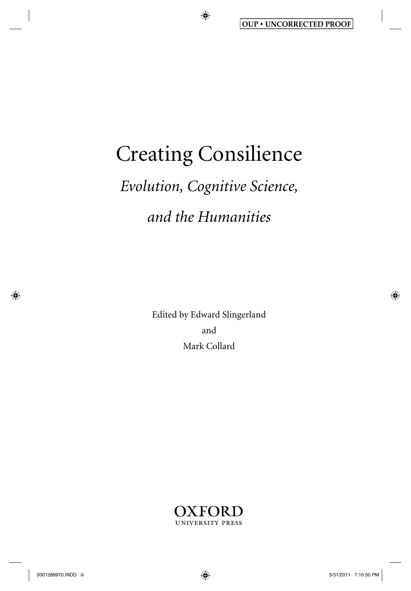# Creating Consilience

 $\bigoplus$ 

# *Evolution, Cognitive Science, and the Humanities*

 Edited by Edward Slingerland and Mark Collard



 $\bigoplus$ 

⊕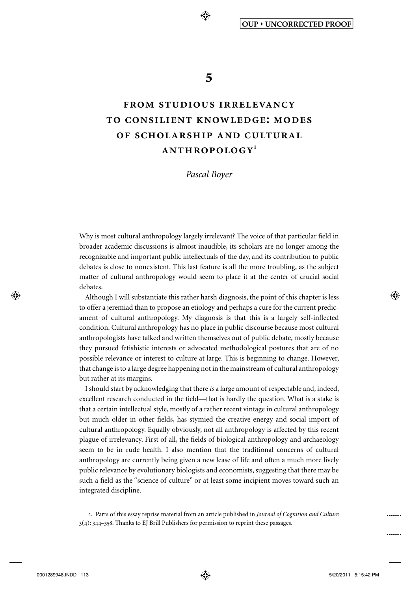**5** 

♠

# **from studious irrelevancy to consilient knowledge: modes of scholarship and cultural anthropology 1**

*Pascal Boyer* 

Why is most cultural anthropology largely irrelevant? The voice of that particular field in broader academic discussions is almost inaudible, its scholars are no longer among the recognizable and important public intellectuals of the day, and its contribution to public debates is close to nonexistent. This last feature is all the more troubling, as the subject matter of cultural anthropology would seem to place it at the center of crucial social debates.

 Although I will substantiate this rather harsh diagnosis, the point of this chapter is less to offer a jeremiad than to propose an etiology and perhaps a cure for the current predicament of cultural anthropology. My diagnosis is that this is a largely self-inflected condition. Cultural anthropology has no place in public discourse because most cultural anthropologists have talked and written themselves out of public debate, mostly because they pursued fetishistic interests or advocated methodological postures that are of no possible relevance or interest to culture at large. This is beginning to change. However, that change is to a large degree happening not in the mainstream of cultural anthropology but rather at its margins.

 I should start by acknowledging that there *is* a large amount of respectable and, indeed, excellent research conducted in the field—that is hardly the question. What is a stake is that a certain intellectual style, mostly of a rather recent vintage in cultural anthropology but much older in other fields, has stymied the creative energy and social import of cultural anthropology. Equally obviously, not all anthropology is affected by this recent plague of irrelevancy. First of all, the fields of biological anthropology and archaeology seem to be in rude health. I also mention that the traditional concerns of cultural anthropology are currently being given a new lease of life and often a much more lively public relevance by evolutionary biologists and economists, suggesting that there may be such a field as the "science of culture" or at least some incipient moves toward such an integrated discipline.

1 . Parts of this essay reprise material from an article published in *Journal of Cognition and Culture* 3(4): 344–358. Thanks to EJ Brill Publishers for permission to reprint these passages.

⊕

-------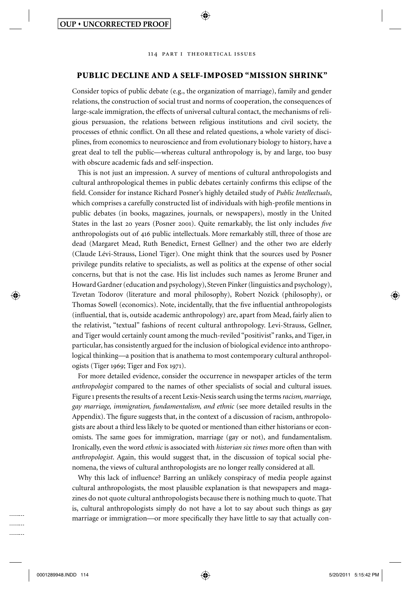

⊕

### **PUBLIC DECLINE AND A SELF-IMPOSED "MISSION SHRINK"**

 Consider topics of public debate (e.g., the organization of marriage), family and gender relations, the construction of social trust and norms of cooperation, the consequences of large-scale immigration, the effects of universal cultural contact, the mechanisms of religious persuasion, the relations between religious institutions and civil society, the processes of ethnic conflict. On all these and related questions, a whole variety of disciplines, from economics to neuroscience and from evolutionary biology to history, have a great deal to tell the public—whereas cultural anthropology is, by and large, too busy with obscure academic fads and self-inspection.

 This is not just an impression. A survey of mentions of cultural anthropologists and cultural anthropological themes in public debates certainly confirms this eclipse of the field. Consider for instance Richard Posner's highly detailed study of *Public Intellectuals*, which comprises a carefully constructed list of individuals with high-profile mentions in public debates (in books, magazines, journals, or newspapers), mostly in the United States in the last 20 years (Posner 2001). Quite remarkably, the list only includes *five* anthropologists out of 416 public intellectuals. More remarkably still, three of those are dead (Margaret Mead, Ruth Benedict, Ernest Gellner) and the other two are elderly (Claude Lévi-Strauss, Lionel Tiger). One might think that the sources used by Posner privilege pundits relative to specialists, as well as politics at the expense of other social concerns, but that is not the case. His list includes such names as Jerome Bruner and Howard Gardner (education and psychology), Steven Pinker (linguistics and psychology), Tzvetan Todorov (literature and moral philosophy), Robert Nozick (philosophy), or Thomas Sowell (economics). Note, incidentally, that the five influential anthropologists (influential, that is, outside academic anthropology) are, apart from Mead, fairly alien to the relativist, "textual" fashions of recent cultural anthropology. Levi-Strauss, Gellner, and Tiger would certainly count among the much-reviled "positivist" ranks, and Tiger, in particular, has consistently argued for the inclusion of biological evidence into anthropological thinking—a position that is anathema to most contemporary cultural anthropologists (Tiger 1969; Tiger and Fox 1971).

 For more detailed evidence, consider the occurrence in newspaper articles of the term *anthropologist* compared to the names of other specialists of social and cultural issues. Figure 1 presents the results of a recent Lexis-Nexis search using the terms *racism, marriage, gay marriage, immigration, fundamentalism, and ethnic* (see more detailed results in the Appendix). The figure suggests that, in the context of a discussion of racism, anthropologists are about a third less likely to be quoted or mentioned than either historians or economists. The same goes for immigration, marriage (gay or not), and fundamentalism. Ironically, even the word *ethnic* is associated with *historian six times* more often than with *anthropologist* . Again, this would suggest that, in the discussion of topical social phenomena, the views of cultural anthropologists are no longer really considered at all.

Why this lack of influence? Barring an unlikely conspiracy of media people against cultural anthropologists, the most plausible explanation is that newspapers and magazines do not quote cultural anthropologists because there is nothing much to quote. That is, cultural anthropologists simply do not have a lot to say about such things as gay marriage or immigration—or more specifically they have little to say that actually con-

⊕

. . . . . . . .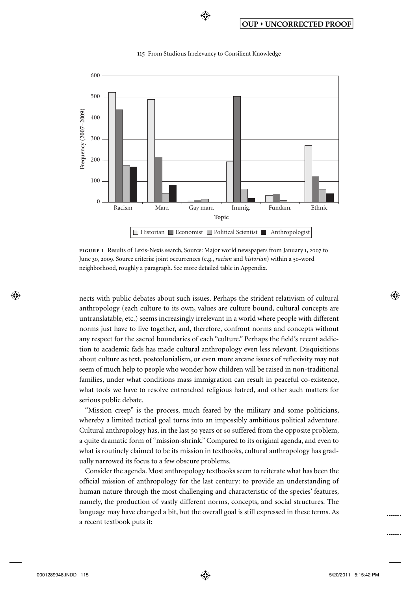

♠

 **figure 1** Results of Lexis-Nexis search, Source: Major world newspapers from January 1, 2007 to June 30, 2009. Source criteria: joint occurrences (e.g., *racism* and *historian*) within a 50-word neighborhood, roughly a paragraph. See more detailed table in Appendix.

nects with public debates about such issues. Perhaps the strident relativism of cultural anthropology (each culture to its own, values are culture bound, cultural concepts are untranslatable, etc.) seems increasingly irrelevant in a world where people with different norms just have to live together, and, therefore, confront norms and concepts without any respect for the sacred boundaries of each "culture." Perhaps the field's recent addiction to academic fads has made cultural anthropology even less relevant. Disquisitions about culture as text, postcolonialism, or even more arcane issues of reflexivity may not seem of much help to people who wonder how children will be raised in non-traditional families, under what conditions mass immigration can result in peaceful co-existence, what tools we have to resolve entrenched religious hatred, and other such matters for serious public debate.

 "Mission creep" is the process, much feared by the military and some politicians, whereby a limited tactical goal turns into an impossibly ambitious political adventure. Cultural anthropology has, in the last 50 years or so suffered from the opposite problem, a quite dramatic form of "mission-shrink." Compared to its original agenda, and even to what is routinely claimed to be its mission in textbooks, cultural anthropology has gradually narrowed its focus to a few obscure problems.

 Consider the agenda. Most anthropology textbooks seem to reiterate what has been the official mission of anthropology for the last century: to provide an understanding of human nature through the most challenging and characteristic of the species' features, namely, the production of vastly different norms, concepts, and social structures. The language may have changed a bit, but the overall goal is still expressed in these terms. As a recent textbook puts it:

↔

⊕

-------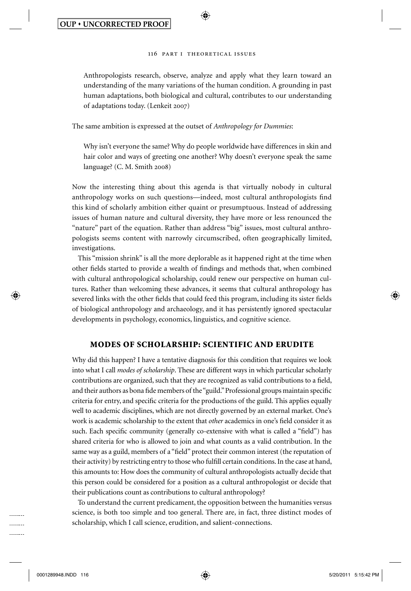⊕

 Anthropologists research, observe, analyze and apply what they learn toward an understanding of the many variations of the human condition. A grounding in past human adaptations, both biological and cultural, contributes to our understanding of adaptations today. (Lenkeit 2007)

The same ambition is expressed at the outset of *Anthropology for Dummies* :

 Why isn't everyone the same? Why do people worldwide have differences in skin and hair color and ways of greeting one another? Why doesn't everyone speak the same language? (C. M. Smith 2008 )

 Now the interesting thing about this agenda is that virtually nobody in cultural anthropology works on such questions—indeed, most cultural anthropologists find this kind of scholarly ambition either quaint or presumptuous. Instead of addressing issues of human nature and cultural diversity, they have more or less renounced the "nature" part of the equation. Rather than address "big" issues, most cultural anthropologists seems content with narrowly circumscribed, often geographically limited, investigations.

 This "mission shrink" is all the more deplorable as it happened right at the time when other fields started to provide a wealth of findings and methods that, when combined with cultural anthropological scholarship, could renew our perspective on human cultures. Rather than welcoming these advances, it seems that cultural anthropology has severed links with the other fields that could feed this program, including its sister fields of biological anthropology and archaeology, and it has persistently ignored spectacular developments in psychology, economics, linguistics, and cognitive science.

# **MODES OF SCHOLARSHIP: SCIENTIFIC AND ERUDITE**

 Why did this happen? I have a tentative diagnosis for this condition that requires we look into what I call *modes of scholarship* . These are different ways in which particular scholarly contributions are organized, such that they are recognized as valid contributions to a field, and their authors as bona fide members of the "guild." Professional groups maintain specific criteria for entry, and specific criteria for the productions of the guild. This applies equally well to academic disciplines, which are not directly governed by an external market. One's work is academic scholarship to the extent that *other* academics in one's field consider it as such. Each specific community (generally co-extensive with what is called a "field") has shared criteria for who is allowed to join and what counts as a valid contribution. In the same way as a guild, members of a "field" protect their common interest (the reputation of their activity) by restricting entry to those who fulfill certain conditions. In the case at hand, this amounts to: How does the community of cultural anthropologists actually decide that this person could be considered for a position as a cultural anthropologist or decide that their publications count as contributions to cultural anthropology?

 To understand the current predicament, the opposition between the humanities versus science, is both too simple and too general. There are, in fact, three distinct modes of scholarship, which I call science, erudition, and salient-connections.

⊕

. . . . . . . . . . . . . . . . . . . . . . . .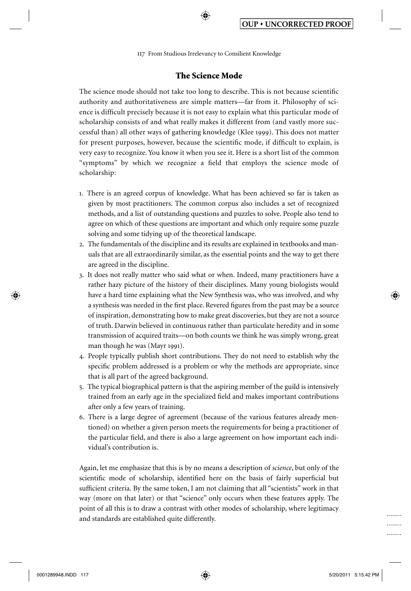⊕

# **The Science Mode**

The science mode should not take too long to describe. This is not because scientific authority and authoritativeness are simple matters—far from it. Philosophy of science is difficult precisely because it is not easy to explain what this particular mode of scholarship consists of and what really makes it different from (and vastly more successful than) all other ways of gathering knowledge ( Klee 1999 ). This does not matter for present purposes, however, because the scientific mode, if difficult to explain, is very easy to recognize. You know it when you see it. Here is a short list of the common "symptoms" by which we recognize a field that employs the science mode of scholarship:

- 1. There is an agreed corpus of knowledge. What has been achieved so far is taken as given by most practitioners. The common corpus also includes a set of recognized methods, and a list of outstanding questions and puzzles to solve. People also tend to agree on which of these questions are important and which only require some puzzle solving and some tidying up of the theoretical landscape.
- 2. The fundamentals of the discipline and its results are explained in textbooks and manuals that are all extraordinarily similar, as the essential points and the way to get there are agreed in the discipline.
- 3. It does not really matter who said what or when. Indeed, many practitioners have a rather hazy picture of the history of their disciplines. Many young biologists would have a hard time explaining what the New Synthesis was, who was involved, and why a synthesis was needed in the first place. Revered figures from the past may be a source of inspiration, demonstrating how to make great discoveries, but they are not a source of truth. Darwin believed in continuous rather than particulate heredity and in some transmission of acquired traits—on both counts we think he was simply wrong, great man though he was (Mayr 1991).
- 4. People typically publish short contributions. They do not need to establish why the specific problem addressed is a problem or why the methods are appropriate, since that is all part of the agreed background.
- 5. The typical biographical pattern is that the aspiring member of the guild is intensively trained from an early age in the specialized field and makes important contributions after only a few years of training.
- 6. There is a large degree of agreement (because of the various features already mentioned) on whether a given person meets the requirements for being a practitioner of the particular field, and there is also a large agreement on how important each individual's contribution is.

 Again, let me emphasize that this is by no means a description of *science* , but only of the scientific mode of scholarship, identified here on the basis of fairly superficial but sufficient criteria. By the same token, I am not claiming that all "scientists" work in that way (more on that later) or that "science" only occurs when these features apply. The point of all this is to draw a contrast with other modes of scholarship, where legitimacy and standards are established quite differently.

⊕

.......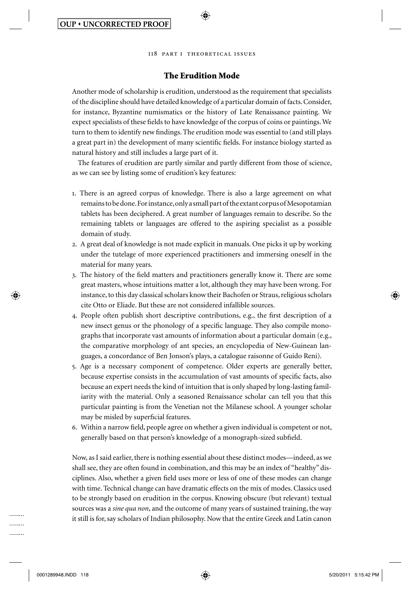

# **The Erudition Mode**

 Another mode of scholarship is erudition, understood as the requirement that specialists of the discipline should have detailed knowledge of a particular domain of facts. Consider, for instance, Byzantine numismatics or the history of Late Renaissance painting. We expect specialists of these fields to have knowledge of the corpus of coins or paintings. We turn to them to identify new findings. The erudition mode was essential to (and still plays a great part in) the development of many scientific fields. For instance biology started as natural history and still includes a large part of it.

 The features of erudition are partly similar and partly different from those of science, as we can see by listing some of erudition's key features:

- 1. There is an agreed corpus of knowledge. There is also a large agreement on what remains to be done. For instance, only a small part of the extant corpus of Mesopotamian tablets has been deciphered. A great number of languages remain to describe. So the remaining tablets or languages are offered to the aspiring specialist as a possible domain of study.
- 2. A great deal of knowledge is not made explicit in manuals. One picks it up by working under the tutelage of more experienced practitioners and immersing oneself in the material for many years.
- 3. The history of the field matters and practitioners generally know it. There are some great masters, whose intuitions matter a lot, although they may have been wrong. For instance, to this day classical scholars know their Bachofen or Straus, religious scholars cite Otto or Eliade. But these are not considered infallible sources.
- 4. People often publish short descriptive contributions, e.g., the first description of a new insect genus or the phonology of a specific language. They also compile monographs that incorporate vast amounts of information about a particular domain (e.g., the comparative morphology of ant species, an encyclopedia of New-Guinean languages, a concordance of Ben Jonson's plays, a catalogue raisonne of Guido Reni).
- 5. Age is a necessary component of competence. Older experts are generally better, because expertise consists in the accumulation of vast amounts of specific facts, also because an expert needs the kind of intuition that is only shaped by long-lasting familiarity with the material. Only a seasoned Renaissance scholar can tell you that this particular painting is from the Venetian not the Milanese school. A younger scholar may be misled by superficial features.
- 6. Within a narrow field, people agree on whether a given individual is competent or not, generally based on that person's knowledge of a monograph-sized subfield.

 Now, as I said earlier, there is nothing essential about these distinct modes—indeed, as we shall see, they are often found in combination, and this may be an index of "healthy" disciplines. Also, whether a given field uses more or less of one of these modes can change with time. Technical change can have dramatic effects on the mix of modes. Classics used to be strongly based on erudition in the corpus. Knowing obscure (but relevant) textual sources was a *sine qua non* , and the outcome of many years of sustained training, the way it still is for, say scholars of Indian philosophy. Now that the entire Greek and Latin canon

⊕

. . . . . . . .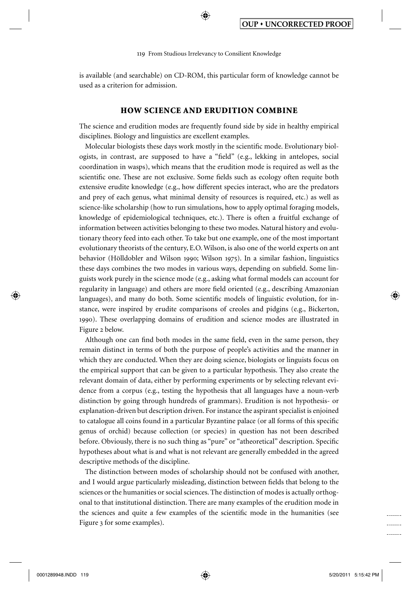⊕

is available (and searchable) on CD-ROM, this particular form of knowledge cannot be used as a criterion for admission.

#### **HOW SCIENCE AND ERUDITION COMBINE**

 The science and erudition modes are frequently found side by side in healthy empirical disciplines. Biology and linguistics are excellent examples.

Molecular biologists these days work mostly in the scientific mode. Evolutionary biologists, in contrast, are supposed to have a "field" (e.g., lekking in antelopes, social coordination in wasps), which means that the erudition mode is required as well as the scientific one. These are not exclusive. Some fields such as ecology often requite both extensive erudite knowledge (e.g., how different species interact, who are the predators and prey of each genus, what minimal density of resources is required, etc.) as well as science-like scholarship (how to run simulations, how to apply optimal foraging models, knowledge of epidemiological techniques, etc.). There is often a fruitful exchange of information between activities belonging to these two modes. Natural history and evolutionary theory feed into each other. To take but one example, one of the most important evolutionary theorists of the century, E.O. Wilson, is also one of the world experts on ant behavior (Hölldobler and Wilson 1990; Wilson 1975). In a similar fashion, linguistics these days combines the two modes in various ways, depending on subfield. Some linguists work purely in the science mode (e.g., asking what formal models can account for regularity in language) and others are more field oriented (e.g., describing Amazonian languages), and many do both. Some scientific models of linguistic evolution, for instance, were inspired by erudite comparisons of creoles and pidgins (e.g., Bickerton, 1990 ). These overlapping domains of erudition and science modes are illustrated in Figure 2 below.

Although one can find both modes in the same field, even in the same person, they remain distinct in terms of both the purpose of people's activities and the manner in which they are conducted. When they are doing science, biologists or linguists focus on the empirical support that can be given to a particular hypothesis. They also create the relevant domain of data, either by performing experiments or by selecting relevant evidence from a corpus (e.g., testing the hypothesis that all languages have a noun-verb distinction by going through hundreds of grammars). Erudition is not hypothesis- or explanation-driven but description driven. For instance the aspirant specialist is enjoined to catalogue all coins found in a particular Byzantine palace (or all forms of this specific genus of orchid) because collection (or species) in question has not been described before. Obviously, there is no such thing as "pure" or "atheoretical" description. Specific hypotheses about what is and what is not relevant are generally embedded in the agreed descriptive methods of the discipline.

 The distinction between modes of scholarship should not be confused with another, and I would argue particularly misleading, distinction between fields that belong to the sciences or the humanities or social sciences. The distinction of modes is actually orthogonal to that institutional distinction. There are many examples of the erudition mode in the sciences and quite a few examples of the scientific mode in the humanities (see Figure 3 for some examples).

⊕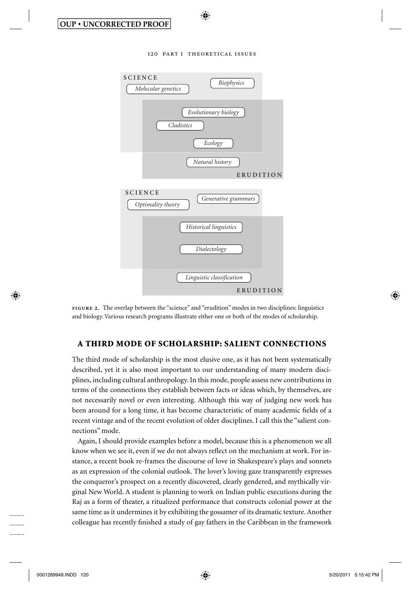

⊕

 **figure 2.** The overlap between the "science" and "erudition" modes in two disciplines: linguistics and biology. Various research programs illustrate either one or both of the modes of scholarship.

# **A THIRD MODE OF SCHOLARSHIP: SALIENT CONNECTIONS**

 The third mode of scholarship is the most elusive one, as it has not been systematically described, yet it is also most important to our understanding of many modern disciplines, including cultural anthropology. In this mode, people assess new contributions in terms of the connections they establish between facts or ideas which, by themselves, are not necessarily novel or even interesting. Although this way of judging new work has been around for a long time, it has become characteristic of many academic fields of a recent vintage and of the recent evolution of older disciplines. I call this the "salient connections" mode.

 Again, I should provide examples before a model, because this is a phenomenon we all know when we see it, even if we do not always reflect on the mechanism at work. For instance, a recent book re-frames the discourse of love in Shakespeare's plays and sonnets as an expression of the colonial outlook. The lover's loving gaze transparently expresses the conqueror's prospect on a recently discovered, clearly gendered, and mythically virginal New World. A student is planning to work on Indian public executions during the Raj as a form of theater, a ritualized performance that constructs colonial power at the same time as it undermines it by exhibiting the gossamer of its dramatic texture. Another colleague has recently finished a study of gay fathers in the Caribbean in the framework

⊕

--------........ . . . . . . . .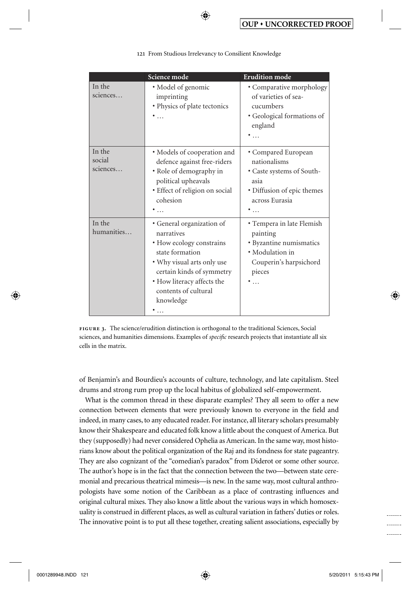|                              | Science mode                                                                                                                                                                                                         | <b>Erudition</b> mode                                                                                                                |  |
|------------------------------|----------------------------------------------------------------------------------------------------------------------------------------------------------------------------------------------------------------------|--------------------------------------------------------------------------------------------------------------------------------------|--|
| In the<br>sciences           | · Model of genomic<br>imprinting<br>• Physics of plate tectonics<br>$\ddot{\bullet}$                                                                                                                                 | • Comparative morphology<br>of varieties of sea-<br>cucumbers<br>· Geological formations of<br>england                               |  |
| In the<br>social<br>sciences | • Models of cooperation and<br>defence against free-riders<br>• Role of demography in<br>political upheavals<br>· Effect of religion on social<br>cohesion<br>$\ddot{\bullet}$                                       | • Compared European<br>nationalisms<br>• Caste systems of South-<br>asia<br>• Diffusion of epic themes<br>across Eurasia<br>۰.       |  |
| In the<br>humanities         | • General organization of<br>narratives<br>• How ecology constrains<br>state formation<br>• Why visual arts only use<br>certain kinds of symmetry<br>• How literacy affects the<br>contents of cultural<br>knowledge | • Tempera in late Flemish<br>painting<br>• Byzantine numismatics<br>· Modulation in<br>Couperin's harpsichord<br>pieces<br>$\ddotsc$ |  |

⊕

 **figure 3.** The science/erudition distinction is orthogonal to the traditional Sciences, Social sciences, and humanities dimensions. Examples of *specific* research projects that instantiate all six cells in the matrix.

of Benjamin's and Bourdieu's accounts of culture, technology, and late capitalism. Steel drums and strong rum prop up the local habitus of globalized self-empowerment.

 What is the common thread in these disparate examples? They all seem to offer a new connection between elements that were previously known to everyone in the field and indeed, in many cases, to any educated reader. For instance, all literary scholars presumably know their Shakespeare and educated folk know a little about the conquest of America. But they (supposedly) had never considered Ophelia as American. In the same way, most historians know about the political organization of the Raj and its fondness for state pageantry. They are also cognizant of the "comedian's paradox" from Diderot or some other source. The author's hope is in the fact that the connection between the two—between state ceremonial and precarious theatrical mimesis—is new. In the same way, most cultural anthropologists have some notion of the Caribbean as a place of contrasting influences and original cultural mixes. They also know a little about the various ways in which homosexuality is construed in different places, as well as cultural variation in fathers' duties or roles. The innovative point is to put all these together, creating salient associations, especially by

⊕

⊕

........ -------. . . . . . .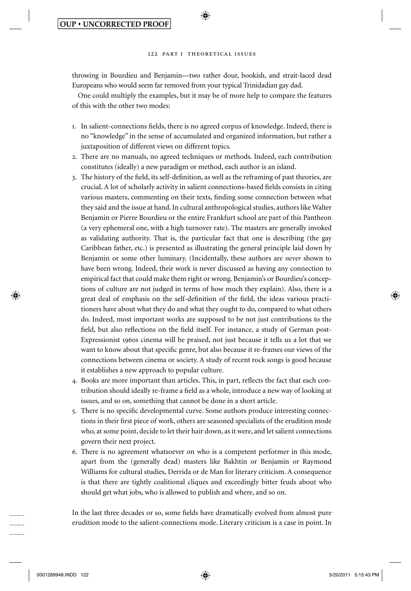⊕

throwing in Bourdieu and Benjamin—two rather dour, bookish, and strait-laced dead Europeans who would seem far removed from your typical Trinidadian gay dad.

 One could multiply the examples, but it may be of more help to compare the features of this with the other two modes:

- 1. In salient-connections fields, there is no agreed corpus of knowledge. Indeed, there is no "knowledge" in the sense of accumulated and organized information, but rather a juxtaposition of different views on different topics.
- 2. There are no manuals, no agreed techniques or methods. Indeed, each contribution constitutes (ideally) a new paradigm or method, each author is an island.
- 3. The history of the field, its self-definition, as well as the reframing of past theories, are crucial. A lot of scholarly activity in salient connections-based fields consists in citing various masters, commenting on their texts, finding some connection between what they said and the issue at hand. In cultural anthropological studies, authors like Walter Benjamin or Pierre Bourdieu or the entire Frankfurt school are part of this Pantheon (a very ephemeral one, with a high turnover rate). The masters are generally invoked as validating authority. That is, the particular fact that one is describing (the gay Caribbean father, etc.) is presented as illustrating the general principle laid down by Benjamin or some other luminary. (Incidentally, these authors are *never* shown to have been wrong. Indeed, their work is never discussed as having any connection to empirical fact that could make them right or wrong. Benjamin's or Bourdieu's conceptions of culture are not judged in terms of how much they explain). Also, there is a great deal of emphasis on the self-definition of the field, the ideas various practitioners have about what they do and what they ought to do, compared to what others do. Indeed, most important works are supposed to be not just contributions to the field, but also reflections on the field itself. For instance, a study of German post-Expressionist 1960s cinema will be praised, not just because it tells us a lot that we want to know about that specific genre, but also because it re-frames our views of the connections between cinema or society. A study of recent rock songs is good because it establishes a new approach to popular culture.
- 4. Books are more important than articles. This, in part, reflects the fact that each contribution should ideally re-frame a field as a whole, introduce a new way of looking at issues, and so on, something that cannot be done in a short article.
- 5. There is no specific developmental curve. Some authors produce interesting connections in their first piece of work, others are seasoned specialists of the erudition mode who, at some point, decide to let their hair down, as it were, and let salient connections govern their next project.
- 6. There is no agreement whatsoever on who is a competent performer in this mode, apart from the (generally dead) masters like Bakhtin or Benjamin or Raymond Williams for cultural studies, Derrida or de Man for literary criticism. A consequence is that there are tightly coalitional cliques and exceedingly bitter feuds about who should get what jobs, who is allowed to publish and where, and so on.

In the last three decades or so, some fields have dramatically evolved from almost pure erudition mode to the salient-connections mode. Literary criticism is a case in point. In

........ . . . . . . . . . . . . . . . .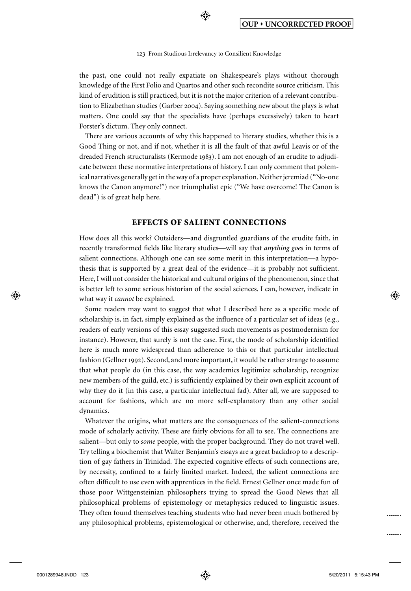⊕

the past, one could not really expatiate on Shakespeare's plays without thorough knowledge of the First Folio and Quartos and other such recondite source criticism. This kind of erudition is still practiced, but it is not the major criterion of a relevant contribution to Elizabethan studies (Garber 2004). Saying something new about the plays is what matters. One could say that the specialists have (perhaps excessively) taken to heart Forster's dictum. They only connect.

 There are various accounts of why this happened to literary studies, whether this is a Good Thing or not, and if not, whether it is all the fault of that awful Leavis or of the dreaded French structuralists ( Kermode 1983 ). I am not enough of an erudite to adjudicate between these normative interpretations of history. I can only comment that polemical narratives generally get in the way of a proper explanation. Neither jeremiad ("No-one knows the Canon anymore!") nor triumphalist epic ("We have overcome! The Canon is dead") is of great help here.

#### **EFFECTS OF SALIENT CONNECTIONS**

 How does all this work? Outsiders—and disgruntled guardians of the erudite faith, in recently transformed fields like literary studies—will say that *anything goes* in terms of salient connections. Although one can see some merit in this interpretation—a hypothesis that is supported by a great deal of the evidence—it is probably not sufficient. Here, I will not consider the historical and cultural origins of the phenomenon, since that is better left to some serious historian of the social sciences. I can, however, indicate in what way it *cannot* be explained.

Some readers may want to suggest that what I described here as a specific mode of scholarship is, in fact, simply explained as the influence of a particular set of ideas (e.g., readers of early versions of this essay suggested such movements as postmodernism for instance). However, that surely is not the case. First, the mode of scholarship identified here is much more widespread than adherence to this or that particular intellectual fashion (Gellner 1992). Second, and more important, it would be rather strange to assume that what people do (in this case, the way academics legitimize scholarship, recognize new members of the guild, etc.) is sufficiently explained by their own explicit account of why they do it (in this case, a particular intellectual fad). After all, we are supposed to account for fashions, which are no more self-explanatory than any other social dynamics.

 Whatever the origins, what matters are the consequences of the salient-connections mode of scholarly activity. These are fairly obvious for all to see. The connections are salient—but only to *some* people, with the proper background. They do not travel well. Try telling a biochemist that Walter Benjamin's essays are a great backdrop to a description of gay fathers in Trinidad. The expected cognitive effects of such connections are, by necessity, confined to a fairly limited market. Indeed, the salient connections are often difficult to use even with apprentices in the field. Ernest Gellner once made fun of those poor Wittgensteinian philosophers trying to spread the Good News that all philosophical problems of epistemology or metaphysics reduced to linguistic issues. They often found themselves teaching students who had never been much bothered by any philosophical problems, epistemological or otherwise, and, therefore, received the

⊕

.......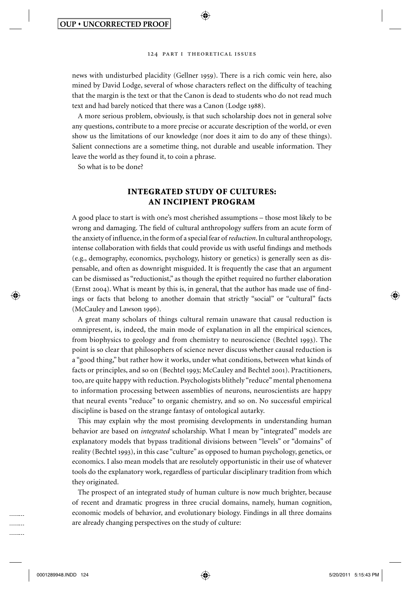⊕

news with undisturbed placidity ( Gellner 1959 ). There is a rich comic vein here, also mined by David Lodge, several of whose characters reflect on the difficulty of teaching that the margin is the text or that the Canon is dead to students who do not read much text and had barely noticed that there was a Canon (Lodge 1988).

 A more serious problem, obviously, is that such scholarship does not in general solve any questions, contribute to a more precise or accurate description of the world, or even show us the limitations of our knowledge (nor does it aim to do any of these things). Salient connections are a sometime thing, not durable and useable information. They leave the world as they found it, to coin a phrase.

So what is to be done?

# **INTEGRATED STUDY OF CULTURES: AN INCIPIENT PROGRAM**

 A good place to start is with one's most cherished assumptions – those most likely to be wrong and damaging. The field of cultural anthropology suffers from an acute form of the anxiety of influence, in the form of a special fear of *reduction*. In cultural anthropology, intense collaboration with fields that could provide us with useful findings and methods (e.g., demography, economics, psychology, history or genetics) is generally seen as dispensable, and often as downright misguided. It is frequently the case that an argument can be dismissed as "reductionist," as though the epithet required no further elaboration (Ernst 2004). What is meant by this is, in general, that the author has made use of findings or facts that belong to another domain that strictly "social" or "cultural" facts (McCauley and Lawson 1996).

 A great many scholars of things cultural remain unaware that causal reduction is omnipresent, is, indeed, the main mode of explanation in all the empirical sciences, from biophysics to geology and from chemistry to neuroscience (Bechtel 1993). The point is so clear that philosophers of science never discuss whether causal reduction is a "good thing," but rather how it works, under what conditions, between what kinds of facts or principles, and so on (Bechtel 1993; McCauley and Bechtel 2001). Practitioners, too, are quite happy with reduction. Psychologists blithely "reduce" mental phenomena to information processing between assemblies of neurons, neuroscientists are happy that neural events "reduce" to organic chemistry, and so on. No successful empirical discipline is based on the strange fantasy of ontological autarky.

 This may explain why the most promising developments in understanding human behavior are based on *integrated* scholarship. What I mean by "integrated" models are explanatory models that bypass traditional divisions between "levels" or "domains" of reality (Bechtel 1993), in this case "culture" as opposed to human psychology, genetics, or economics. I also mean models that are resolutely opportunistic in their use of whatever tools do the explanatory work, regardless of particular disciplinary tradition from which they originated.

 The prospect of an integrated study of human culture is now much brighter, because of recent and dramatic progress in three crucial domains, namely, human cognition, economic models of behavior, and evolutionary biology. Findings in all three domains are already changing perspectives on the study of culture:

⊕

. . . . . . . . . . . . . . . . . . . . . . . .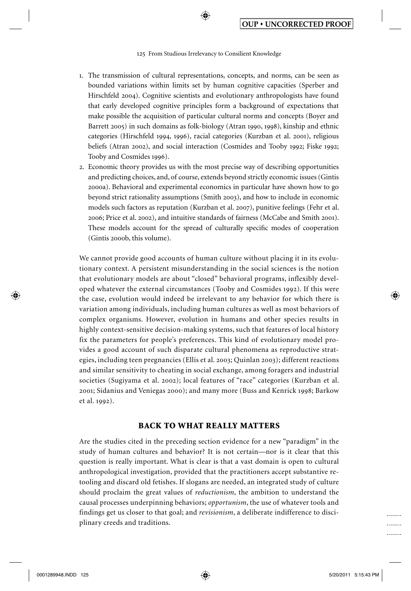⊕

- 1. The transmission of cultural representations, concepts, and norms, can be seen as bounded variations within limits set by human cognitive capacities ( Sperber and Hirschfeld 2004). Cognitive scientists and evolutionary anthropologists have found that early developed cognitive principles form a background of expectations that make possible the acquisition of particular cultural norms and concepts ( Boyer and Barrett 2005) in such domains as folk-biology (Atran 1990, 1998), kinship and ethnic categories (Hirschfeld 1994, 1996), racial categories (Kurzban et al. 2001), religious beliefs (Atran 2002), and social interaction (Cosmides and Tooby 1992; Fiske 1992; Tooby and Cosmides 1996).
- 2. Economic theory provides us with the most precise way of describing opportunities and predicting choices, and, of course, extends beyond strictly economic issues ( Gintis 2000a ). Behavioral and experimental economics in particular have shown how to go beyond strict rationality assumptions (Smith 2003), and how to include in economic models such factors as reputation ( Kurzban et al. 2007 ), punitive feelings ( Fehr et al. 2006; Price et al. 2002), and intuitive standards of fairness (McCabe and Smith 2001). These models account for the spread of culturally specific modes of cooperation (Gintis 2000b, this volume).

 We cannot provide good accounts of human culture without placing it in its evolutionary context. A persistent misunderstanding in the social sciences is the notion that evolutionary models are about "closed" behavioral programs, inflexibly developed whatever the external circumstances ( Tooby and Cosmides 1992 ). If this were the case, evolution would indeed be irrelevant to any behavior for which there is variation among individuals, including human cultures as well as most behaviors of complex organisms. However, evolution in humans and other species results in highly context-sensitive decision-making systems, such that features of local history fix the parameters for people's preferences. This kind of evolutionary model provides a good account of such disparate cultural phenomena as reproductive strategies, including teen pregnancies ( Ellis et al. 2003 ; Quinlan 2003 ); different reactions and similar sensitivity to cheating in social exchange, among foragers and industrial societies ( Sugiyama et al. 2002 ); local features of "race" categories ( Kurzban et al. 2001 ; Sidanius and Veniegas 2000 ); and many more ( Buss and Kenrick 1998 ; Barkow et al. 1992).

### **BACK TO WHAT REALLY MATTERS**

 Are the studies cited in the preceding section evidence for a new "paradigm" in the study of human cultures and behavior? It is not certain—nor is it clear that this question is really important. What is clear is that a vast domain is open to cultural anthropological investigation, provided that the practitioners accept substantive retooling and discard old fetishes. If slogans are needed, an integrated study of culture should proclaim the great values of *reductionism* , the ambition to understand the causal processes underpinning behaviors; *opportunism*, the use of whatever tools and findings get us closer to that goal; and *revisionism* , a deliberate indifference to disciplinary creeds and traditions.

⊕

-------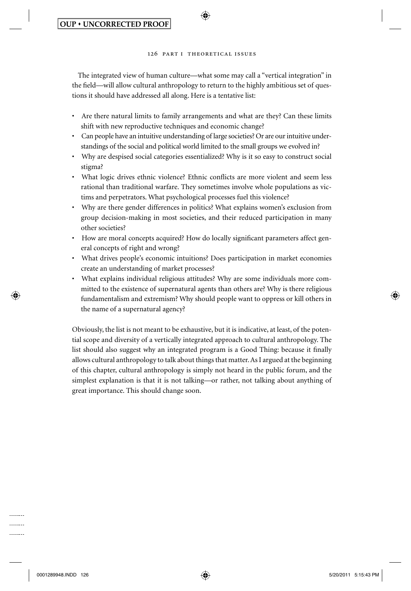⊕

 The integrated view of human culture—what some may call a "vertical integration" in the field—will allow cultural anthropology to return to the highly ambitious set of questions it should have addressed all along. Here is a tentative list:

- Are there natural limits to family arrangements and what are they? Can these limits shift with new reproductive techniques and economic change?
- Can people have an intuitive understanding of large societies? Or are our intuitive understandings of the social and political world limited to the small groups we evolved in?
- Why are despised social categories essentialized? Why is it so easy to construct social stigma?
- What logic drives ethnic violence? Ethnic conflicts are more violent and seem less rational than traditional warfare. They sometimes involve whole populations as victims and perpetrators. What psychological processes fuel this violence?
- Why are there gender differences in politics? What explains women's exclusion from group decision-making in most societies, and their reduced participation in many other societies?
- How are moral concepts acquired? How do locally significant parameters affect general concepts of right and wrong?
- What drives people's economic intuitions? Does participation in market economies create an understanding of market processes?
- What explains individual religious attitudes? Why are some individuals more committed to the existence of supernatural agents than others are? Why is there religious fundamentalism and extremism? Why should people want to oppress or kill others in the name of a supernatural agency?

 Obviously, the list is not meant to be exhaustive, but it is indicative, at least, of the potential scope and diversity of a vertically integrated approach to cultural anthropology. The list should also suggest why an integrated program is a Good Thing: because it finally allows cultural anthropology to talk about things that matter. As I argued at the beginning of this chapter, cultural anthropology is simply not heard in the public forum, and the simplest explanation is that it is not talking—or rather, not talking about anything of great importance. This should change soon.

0001289948.INDD 126 001289948.INDD 126 001289948.INDD 126

⊕

. . . . . . . .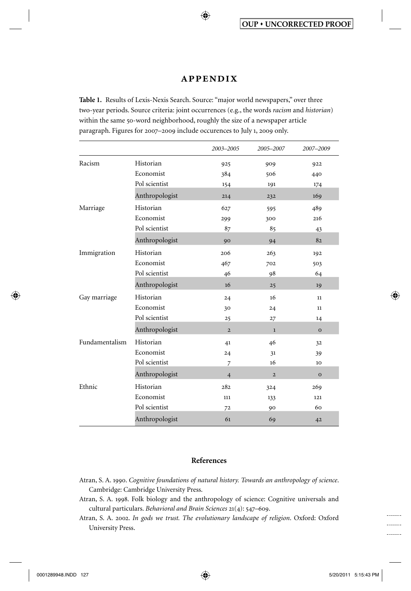# **appendix**

♠

**Table 1.** Results of Lexis-Nexis Search. Source: "major world newspapers," over three two-year periods. Source criteria: joint occurrences (e.g., the words *racism* and *historian* ) within the same 50-word neighborhood, roughly the size of a newspaper article paragraph. Figures for 2007–2009 include occurences to July 1, 2009 only.

|                |                | 2003-2005      | 2005-2007      | 2007-2009    |
|----------------|----------------|----------------|----------------|--------------|
| Racism         | Historian      | 925            | 909            | 922          |
|                | Economist      | 384            | 506            | 440          |
|                | Pol scientist  | 154            | 191            | 174          |
|                | Anthropologist | 214            | 232            | 169          |
| Marriage       | Historian      | 627            | 595            | 489          |
|                | Economist      | 299            | 300            | 216          |
|                | Pol scientist  | 87             | 85             | 43           |
|                | Anthropologist | 90             | 94             | 82           |
| Immigration    | Historian      | 206            | 263            | 192          |
|                | Economist      | 467            | 702            | 503          |
|                | Pol scientist  | 46             | 98             | 64           |
|                | Anthropologist | 16             | 25             | 19           |
| Gay marriage   | Historian      | 24             | 16             | 11           |
|                | Economist      | 30             | 24             | 11           |
|                | Pol scientist  | 25             | 27             | 14           |
|                | Anthropologist | $\overline{2}$ | $\mathbf{1}$   | $\mathbf{o}$ |
| Fundamentalism | Historian      | 41             | 46             | 32           |
|                | Economist      | 24             | 31             | 39           |
|                | Pol scientist  | $\overline{7}$ | 16             | 10           |
|                | Anthropologist | $\overline{4}$ | $\overline{2}$ | $\Omega$     |
| Ethnic         | Historian      | 282            | 324            | 269          |
|                | Economist      | 111            | 133            | 121          |
|                | Pol scientist  | 72             | 90             | 60           |
|                | Anthropologist | 61             | 69             | 42           |

# **References**

- Atran, S. A. 1990. *Cognitive foundations of natural history. Towards an anthropology of science* . Cambridge: Cambridge University Press.
- Atran, S. A. 1998. Folk biology and the anthropology of science: Cognitive universals and cultural particulars. *Behavioral and Brain Sciences* 21(4): 547–609.
- Atran, S. A. 2002. *In gods we trust. The evolutionary landscape of religion*. Oxford: Oxford University Press.

⊕

⊕

. . . . . . . .  $1.1.1.1.1.1$ . . . . . . . .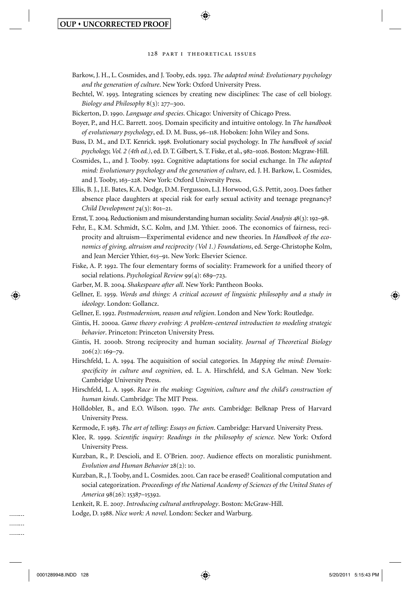⊕

- Barkow, J. H., L. Cosmides, and J. Tooby, eds. 1992. *The adapted mind: Evolutionary psychology and the generation of culture* . New York: Oxford University Press.
- Bechtel, W. 1993. Integrating sciences by creating new disciplines: The case of cell biology. *Biology and Philosophy* 8(3): 277–300.
- Bickerton, D. 1990. *Language and species* . Chicago: University of Chicago Press.
- Boyer, P., and H.C. Barrett. 2005. Domain specificity and intuitive ontology. In *The handbook of evolutionary psychology* , ed. D. M. Buss, 96–118. Hoboken: John Wiley and Sons.
- Buss, D. M., and D.T. Kenrick. 1998. Evolutionary social psychology. In *The handbook of social psychology, Vol. 2 (4th ed.)* , ed. D. T. Gilbert, S. T. Fiske, et al., 982–1026. Boston: Mcgraw-Hill.
- Cosmides, L., and J. Tooby. 1992. Cognitive adaptations for social exchange. In *The adapted mind: Evolutionary psychology and the generation of culture, ed. J. H. Barkow, L. Cosmides,* and J. Tooby, 163–228. New York: Oxford University Press.
- Ellis, B. J., J.E. Bates, K.A. Dodge, D.M. Fergusson, L.J. Horwood, G.S. Pettit, 2003. Does father absence place daughters at special risk for early sexual activity and teenage pregnancy? *Child Development* 74(3): 801–21.
- Ernst, T. 2004. Reductionism and misunderstanding human sociality. *Social Analysis* 48(3): 192–98.
- Fehr, E., K.M. Schmidt, S.C. Kolm, and J.M. Ythier. 2006. The economics of fairness, reciprocity and altruism—Experimental evidence and new theories. In *Handbook of the economics of giving, altruism and reciprocity (Vol 1.) Foundations* , ed. Serge-Christophe Kolm, and Jean Mercier Ythier, 615–91. New York: Elsevier Science.
- Fiske, A. P. 1992. The four elementary forms of sociality: Framework for a unified theory of social relations. *Psychological Review* 99(4): 689–723.
- Garber, M. B. 2004. *Shakespeare after all* . New York: Pantheon Books.
- Gellner, E. 1959. *Words and things: A critical account of linguistic philosophy and a study in ideology* . London: Gollancz.
- Gellner, E. 1992. *Postmodernism, reason and religion* . London and New York: Routledge.
- Gintis, H. 2000a. *Game theory evolving: A problem-centered introduction to modeling strategic behavior* . Princeton: Princeton University Press.
- Gintis, H. 2000b. Strong reciprocity and human sociality. *Journal of Theoretical Biology* 206(2): 169–79.
- Hirschfeld, L. A. 1994. The acquisition of social categories. In *Mapping the mind: Domain*specificity in culture and cognition, ed. L. A. Hirschfeld, and S.A Gelman. New York: Cambridge University Press.
- Hirschfeld, L. A. 1996. *Race in the making: Cognition, culture and the child's construction of human kinds* . Cambridge: The MIT Press.
- Hölldobler, B., and E.O. Wilson. 1990. *The ants* . Cambridge: Belknap Press of Harvard University Press.
- Kermode, F. 1983. *The art of telling: Essays on fiction*. Cambridge: Harvard University Press.
- Klee, R. 1999. *Scientific inquiry: Readings in the philosophy of science*. New York: Oxford University Press.
- Kurzban, R., P. Descioli, and E. O'Brien. 2007. Audience effects on moralistic punishment. *Evolution and Human Behavior* 28(2): 10.
- Kurzban, R., J. Tooby, and L. Cosmides. 2001. Can race be erased? Coalitional computation and social categorization. *Proceedings of the National Academy of Sciences of the United States of America* 98(26): 15387–15392.
- Lenkeit, R. E. 2007. *Introducing cultural anthropology* . Boston: McGraw-Hill.
- Lodge, D. 1988. *Nice work: A novel*. London: Secker and Warburg.